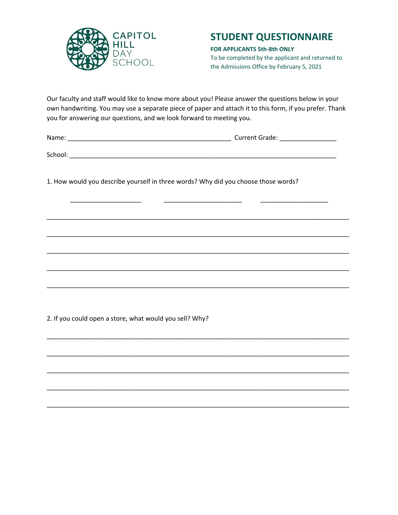

## **STUDENT QUESTIONNAIRE**

**FOR APPLICANTS 5th-8th ONLY** To be completed by the applicant and returned to the Admissions Office by February 5, 2021

Our faculty and staff would like to know more about you! Please answer the questions below in your own handwriting. You may use a separate piece of paper and attach it to this form, if you prefer. Thank you for answering our questions, and we look forward to meeting you.

Name: \_\_\_\_\_\_\_\_\_\_\_\_\_\_\_\_\_\_\_\_\_\_\_\_\_\_\_\_\_\_\_\_\_\_\_\_\_\_\_\_\_\_\_\_\_\_ Current Grade: \_\_\_\_\_\_\_\_\_\_\_\_\_\_\_\_

 $School:$ 

1. How would you describe yourself in three words? Why did you choose those words?

\_\_\_\_\_\_\_\_\_\_\_\_\_\_\_\_\_\_\_\_ \_\_\_\_\_\_\_\_\_\_\_\_\_\_\_\_\_\_\_\_\_\_ \_\_\_\_\_\_\_\_\_\_\_\_\_\_\_\_\_\_\_

\_\_\_\_\_\_\_\_\_\_\_\_\_\_\_\_\_\_\_\_\_\_\_\_\_\_\_\_\_\_\_\_\_\_\_\_\_\_\_\_\_\_\_\_\_\_\_\_\_\_\_\_\_\_\_\_\_\_\_\_\_\_\_\_\_\_\_\_\_\_\_\_\_\_\_\_\_\_\_\_\_\_\_\_\_

\_\_\_\_\_\_\_\_\_\_\_\_\_\_\_\_\_\_\_\_\_\_\_\_\_\_\_\_\_\_\_\_\_\_\_\_\_\_\_\_\_\_\_\_\_\_\_\_\_\_\_\_\_\_\_\_\_\_\_\_\_\_\_\_\_\_\_\_\_\_\_\_\_\_\_\_\_\_\_\_\_\_\_\_\_

\_\_\_\_\_\_\_\_\_\_\_\_\_\_\_\_\_\_\_\_\_\_\_\_\_\_\_\_\_\_\_\_\_\_\_\_\_\_\_\_\_\_\_\_\_\_\_\_\_\_\_\_\_\_\_\_\_\_\_\_\_\_\_\_\_\_\_\_\_\_\_\_\_\_\_\_\_\_\_\_\_\_\_\_\_

\_\_\_\_\_\_\_\_\_\_\_\_\_\_\_\_\_\_\_\_\_\_\_\_\_\_\_\_\_\_\_\_\_\_\_\_\_\_\_\_\_\_\_\_\_\_\_\_\_\_\_\_\_\_\_\_\_\_\_\_\_\_\_\_\_\_\_\_\_\_\_\_\_\_\_\_\_\_\_\_\_\_\_\_\_

\_\_\_\_\_\_\_\_\_\_\_\_\_\_\_\_\_\_\_\_\_\_\_\_\_\_\_\_\_\_\_\_\_\_\_\_\_\_\_\_\_\_\_\_\_\_\_\_\_\_\_\_\_\_\_\_\_\_\_\_\_\_\_\_\_\_\_\_\_\_\_\_\_\_\_\_\_\_\_\_\_\_\_\_\_

\_\_\_\_\_\_\_\_\_\_\_\_\_\_\_\_\_\_\_\_\_\_\_\_\_\_\_\_\_\_\_\_\_\_\_\_\_\_\_\_\_\_\_\_\_\_\_\_\_\_\_\_\_\_\_\_\_\_\_\_\_\_\_\_\_\_\_\_\_\_\_\_\_\_\_\_\_\_\_\_\_\_\_\_\_

\_\_\_\_\_\_\_\_\_\_\_\_\_\_\_\_\_\_\_\_\_\_\_\_\_\_\_\_\_\_\_\_\_\_\_\_\_\_\_\_\_\_\_\_\_\_\_\_\_\_\_\_\_\_\_\_\_\_\_\_\_\_\_\_\_\_\_\_\_\_\_\_\_\_\_\_\_\_\_\_\_\_\_\_\_

\_\_\_\_\_\_\_\_\_\_\_\_\_\_\_\_\_\_\_\_\_\_\_\_\_\_\_\_\_\_\_\_\_\_\_\_\_\_\_\_\_\_\_\_\_\_\_\_\_\_\_\_\_\_\_\_\_\_\_\_\_\_\_\_\_\_\_\_\_\_\_\_\_\_\_\_\_\_\_\_\_\_\_\_\_

\_\_\_\_\_\_\_\_\_\_\_\_\_\_\_\_\_\_\_\_\_\_\_\_\_\_\_\_\_\_\_\_\_\_\_\_\_\_\_\_\_\_\_\_\_\_\_\_\_\_\_\_\_\_\_\_\_\_\_\_\_\_\_\_\_\_\_\_\_\_\_\_\_\_\_\_\_\_\_\_\_\_\_\_\_

\_\_\_\_\_\_\_\_\_\_\_\_\_\_\_\_\_\_\_\_\_\_\_\_\_\_\_\_\_\_\_\_\_\_\_\_\_\_\_\_\_\_\_\_\_\_\_\_\_\_\_\_\_\_\_\_\_\_\_\_\_\_\_\_\_\_\_\_\_\_\_\_\_\_\_\_\_\_\_\_\_\_\_\_\_

2. If you could open a store, what would you sell? Why?